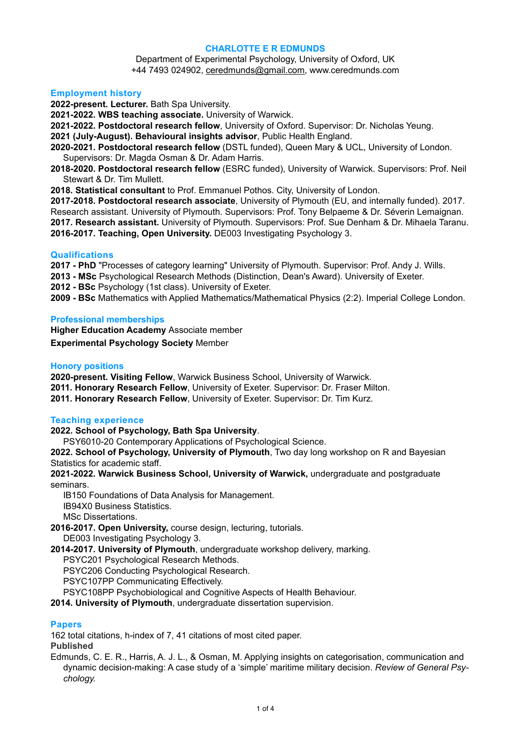#### **CHARLOTTE E R EDMUNDS**

Department of Experimental Psychology, University of Oxford, UK +44 7493 024902, [ceredmunds@gmail.com,](mailto:ceredmunds@gmail.com) www.ceredmunds.com

#### **Employment history**

**2022-present. Lecturer.** Bath Spa University.

**2021-2022. WBS teaching associate.** University of Warwick.

**2021-2022. Postdoctoral research fellow**, University of Oxford. Supervisor: Dr. Nicholas Yeung.

- **2021 (July-August). Behavioural insights advisor**, Public Health England.
- **2020-2021. Postdoctoral research fellow** (DSTL funded), Queen Mary & UCL, University of London. Supervisors: Dr. Magda Osman & Dr. Adam Harris.
- **2018-2020. Postdoctoral research fellow** (ESRC funded), University of Warwick. Supervisors: Prof. Neil Stewart & Dr. Tim Mullett.
- **2018. Statistical consultant** to Prof. Emmanuel Pothos. City, University of London.

**2017-2018. Postdoctoral research associate**, University of Plymouth (EU, and internally funded). 2017. Research assistant. University of Plymouth. Supervisors: Prof. Tony Belpaeme & Dr. Séverin Lemaignan. **2017. Research assistant.** University of Plymouth. Supervisors: Prof. Sue Denham & Dr. Mihaela Taranu. **2016-2017. Teaching, Open University.** DE003 Investigating Psychology 3.

#### **Qualifications**

**2017 - PhD** "Processes of category learning" University of Plymouth. Supervisor: Prof. Andy J. Wills.

**2013 - MSc** Psychological Research Methods (Distinction, Dean's Award). University of Exeter.

- **2012 BSc** Psychology (1st class). University of Exeter.
- **2009 BSc** Mathematics with Applied Mathematics/Mathematical Physics (2:2). Imperial College London.

#### **Professional memberships**

**Higher Education Academy** Associate member **Experimental Psychology Society** Member

# **Honory positions**

**2020-present. Visiting Fellow**, Warwick Business School, University of Warwick.

- **2011. Honorary Research Fellow**, University of Exeter. Supervisor: Dr. Fraser Milton.
- **2011. Honorary Research Fellow**, University of Exeter. Supervisor: Dr. Tim Kurz.

# **Teaching experience**

**2022. School of Psychology, Bath Spa University**.

PSY6010-20 Contemporary Applications of Psychological Science.

**2022. School of Psychology, University of Plymouth**, Two day long workshop on R and Bayesian Statistics for academic staff.

**2021-2022. Warwick Business School, University of Warwick,** undergraduate and postgraduate seminars.

IB150 Foundations of Data Analysis for Management.

IB94X0 Business Statistics.

MSc Dissertations.

**2016-2017. Open University,** course design, lecturing, tutorials.

DE003 Investigating Psychology 3.

**2014-2017. University of Plymouth**, undergraduate workshop delivery, marking.

PSYC201 Psychological Research Methods.

PSYC206 Conducting Psychological Research.

PSYC107PP Communicating Effectively.

PSYC108PP Psychobiological and Cognitive Aspects of Health Behaviour.

**2014. University of Plymouth**, undergraduate dissertation supervision.

# **Papers**

162 total citations, h-index of 7, 41 citations of most cited paper. **Published**

Edmunds, C. E. R., Harris, A. J. L., & Osman, M. Applying insights on categorisation, communication and dynamic decision-making: A case study of a 'simple' maritime military decision. *Review of General Psychology.*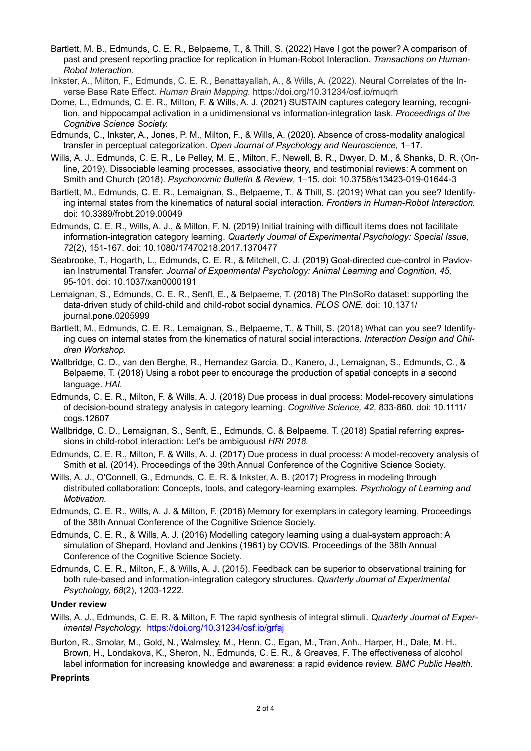- Bartlett, M. B., Edmunds, C. E. R., Belpaeme, T., & Thill, S. (2022) Have I got the power? A comparison of past and present reporting practice for replication in Human-Robot Interaction. *Transactions on Human-Robot Interaction.*
- Inkster, A., Milton, F., Edmunds, C. E. R., Benattayallah, A., & Wills, A. (2022). Neural Correlates of the Inverse Base Rate Effect. *Human Brain Mapping.* https://doi.org/10.31234/osf.io/muqrh
- Dome, L., Edmunds, C. E. R., Milton, F. & Wills, A. J. (2021) SUSTAIN captures category learning, recognition, and hippocampal activation in a unidimensional vs information-integration task. *Proceedings of the Cognitive Science Society.*
- Edmunds, C., Inkster, A., Jones, P. M., Milton, F., & Wills, A. (2020). Absence of cross-modality analogical transfer in perceptual categorization. *Open Journal of Psychology and Neuroscience,* 1–17.
- Wills, A. J., Edmunds, C. E. R., Le Pelley, M. E., Milton, F., Newell, B. R., Dwyer, D. M., & Shanks, D. R. (Online, 2019). Dissociable learning processes, associative theory, and testimonial reviews: A comment on Smith and Church (2018). *Psychonomic Bulletin & Review*, 1–15. doi: 10.3758/s13423-019-01644-3
- Bartlett, M., Edmunds, C. E. R., Lemaignan, S., Belpaeme, T., & Thill, S. (2019) What can you see? Identifying internal states from the kinematics of natural social interaction. *Frontiers in Human-Robot Interaction.*  doi: 10.3389/frobt.2019.00049
- Edmunds, C. E. R., Wills, A. J., & Milton, F. N. (2019) Initial training with difficult items does not facilitate information-integration category learning. *Quarterly Journal of Experimental Psychology: Special Issue, 72*(2), 151-167. doi: 10.1080/17470218.2017.1370477
- Seabrooke, T., Hogarth, L., Edmunds, C. E. R., & Mitchell, C. J. (2019) Goal-directed cue-control in Pavlovian Instrumental Transfer. *Journal of Experimental Psychology: Animal Learning and Cognition, 45,*  95-101. doi: 10.1037/xan0000191
- Lemaignan, S., Edmunds, C. E. R., Senft, E., & Belpaeme, T. (2018) The PInSoRo dataset: supporting the data-driven study of child-child and child-robot social dynamics. *PLOS ONE.* doi: 10.1371/ journal.pone.0205999
- Bartlett, M., Edmunds, C. E. R., Lemaignan, S., Belpaeme, T., & Thill, S. (2018) What can you see? Identifying cues on internal states from the kinematics of natural social interactions. *Interaction Design and Children Workshop.*
- Wallbridge, C. D., van den Berghe, R., Hernandez Garcia, D., Kanero, J., Lemaignan, S., Edmunds, C., & Belpaeme, T. (2018) Using a robot peer to encourage the production of spatial concepts in a second language. *HAI.*
- Edmunds, C. E. R., Milton, F. & Wills, A. J. (2018) Due process in dual process: Model-recovery simulations of decision-bound strategy analysis in category learning. *Cognitive Science, 42,* 833-860. doi: 10.1111/ cogs.12607
- Wallbridge, C. D., Lemaignan, S., Senft, E., Edmunds, C. & Belpaeme. T. (2018) Spatial referring expressions in child-robot interaction: Let's be ambiguous! *HRI 2018.*
- Edmunds, C. E. R., Milton, F. & Wills, A. J. (2017) Due process in dual process: A model-recovery analysis of Smith et al. (2014). Proceedings of the 39th Annual Conference of the Cognitive Science Society.
- Wills, A. J., O'Connell, G., Edmunds, C. E. R. & Inkster, A. B. (2017) Progress in modeling through distributed collaboration: Concepts, tools, and category-learning examples. *Psychology of Learning and Motivation.*
- Edmunds, C. E. R., Wills, A. J. & Milton, F. (2016) Memory for exemplars in category learning. Proceedings of the 38th Annual Conference of the Cognitive Science Society.
- Edmunds, C. E. R., & Wills, A. J. (2016) Modelling category learning using a dual-system approach: A simulation of Shepard, Hovland and Jenkins (1961) by COVIS. Proceedings of the 38th Annual Conference of the Cognitive Science Society.
- Edmunds, C. E. R., Milton, F., & Wills, A. J. (2015). Feedback can be superior to observational training for both rule-based and information-integration category structures. *Quarterly Journal of Experimental Psychology, 68*(2), 1203-1222.

# **Under review**

- Wills, A. J., Edmunds, C. E. R. & Milton, F. The rapid synthesis of integral stimuli. *Quarterly Journal of Experimental Psychology.* <https://doi.org/10.31234/osf.io/grfaj>
- Burton, R., Smolar, M., Gold, N., Walmsley, M., Henn, C., Egan, M., Tran, Anh., Harper, H., Dale, M. H., Brown, H., Londakova, K., Sheron, N., Edmunds, C. E. R., & Greaves, F. The effectiveness of alcohol label information for increasing knowledge and awareness: a rapid evidence review. *BMC Public Health.*

# **Preprints**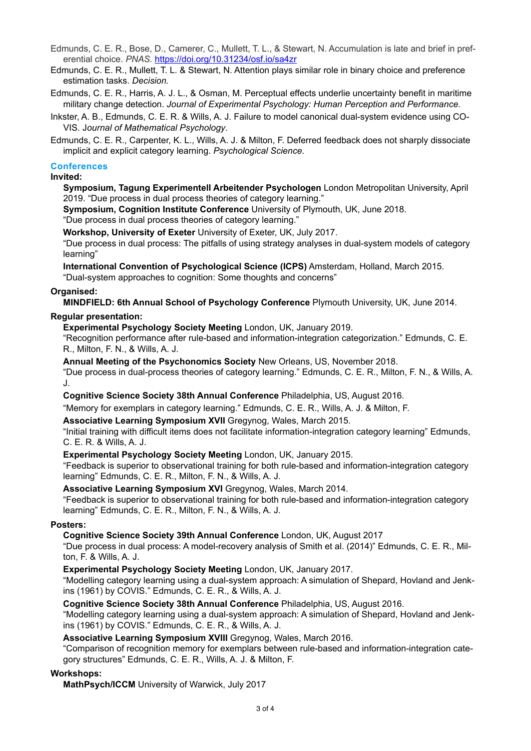Edmunds, C. E. R., Bose, D., Camerer, C., Mullett, T. L., & Stewart, N. Accumulation is late and brief in preferential choice. *PNAS.* <https://doi.org/10.31234/osf.io/sa4zr>

Edmunds, C. E. R., Mullett, T. L. & Stewart, N. Attention plays similar role in binary choice and preference estimation tasks. *Decision.* 

Edmunds, C. E. R., Harris, A. J. L., & Osman, M. Perceptual effects underlie uncertainty benefit in maritime military change detection. *Journal of Experimental Psychology: Human Perception and Performance.*

Inkster, A. B., Edmunds, C. E. R. & Wills, A. J. Failure to model canonical dual-system evidence using CO-VIS. J*ournal of Mathematical Psychology*.

Edmunds, C. E. R., Carpenter, K. L., Wills, A. J. & Milton, F. Deferred feedback does not sharply dissociate implicit and explicit category learning. *Psychological Science.*

#### **Conferences**

#### **Invited:**

**Symposium, Tagung Experimentell Arbeitender Psychologen** London Metropolitan University, April 2019. "Due process in dual process theories of category learning."

**Symposium, Cognition Institute Conference** University of Plymouth, UK, June 2018.

"Due process in dual process theories of category learning."

**Workshop, University of Exeter** University of Exeter, UK, July 2017.

"Due process in dual process: The pitfalls of using strategy analyses in dual-system models of category learning"

**International Convention of Psychological Science (ICPS)** Amsterdam, Holland, March 2015.

"Dual-system approaches to cognition: Some thoughts and concerns"

#### **Organised:**

**MINDFIELD: 6th Annual School of Psychology Conference** Plymouth University, UK, June 2014.

# **Regular presentation:**

**Experimental Psychology Society Meeting** London, UK, January 2019.

"Recognition performance after rule-based and information-integration categorization." Edmunds, C. E. R., Milton, F. N., & Wills, A. J.

**Annual Meeting of the Psychonomics Society** New Orleans, US, November 2018.

"Due process in dual-process theories of category learning." Edmunds, C. E. R., Milton, F. N., & Wills, A. J.

**Cognitive Science Society 38th Annual Conference** Philadelphia, US, August 2016.

"Memory for exemplars in category learning." Edmunds, C. E. R., Wills, A. J. & Milton, F.

**Associative Learning Symposium XVII** Gregynog, Wales, March 2015.

"Initial training with difficult items does not facilitate information-integration category learning" Edmunds, C. E. R. & Wills, A. J.

# **Experimental Psychology Society Meeting** London, UK, January 2015.

"Feedback is superior to observational training for both rule-based and information-integration category learning" Edmunds, C. E. R., Milton, F. N., & Wills, A. J.

**Associative Learning Symposium XVI** Gregynog, Wales, March 2014.

"Feedback is superior to observational training for both rule-based and information-integration category learning" Edmunds, C. E. R., Milton, F. N., & Wills, A. J.

# **Posters:**

**Cognitive Science Society 39th Annual Conference** London, UK, August 2017

"Due process in dual process: A model-recovery analysis of Smith et al. (2014)" Edmunds, C. E. R., Milton, F. & Wills, A. J.

**Experimental Psychology Society Meeting** London, UK, January 2017.

"Modelling category learning using a dual-system approach: A simulation of Shepard, Hovland and Jenkins (1961) by COVIS." Edmunds, C. E. R., & Wills, A. J.

**Cognitive Science Society 38th Annual Conference** Philadelphia, US, August 2016.

"Modelling category learning using a dual-system approach: A simulation of Shepard, Hovland and Jenkins (1961) by COVIS." Edmunds, C. E. R., & Wills, A. J.

**Associative Learning Symposium XVIII** Gregynog, Wales, March 2016.

"Comparison of recognition memory for exemplars between rule-based and information-integration category structures" Edmunds, C. E. R., Wills, A. J. & Milton, F.

# **Workshops:**

**MathPsych/ICCM** University of Warwick, July 2017